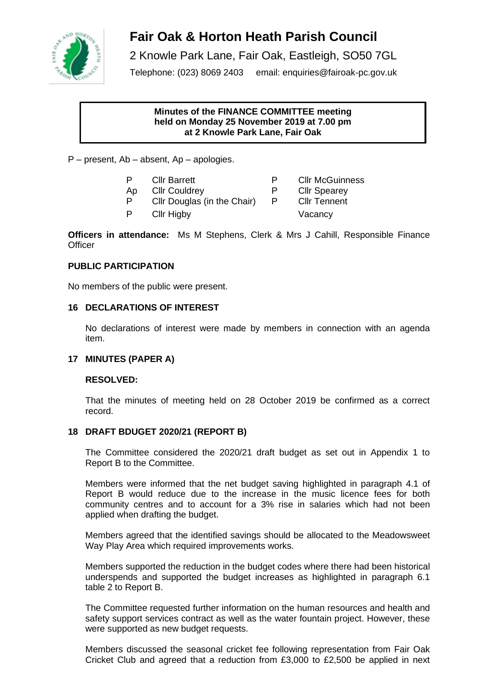

# **Fair Oak & Horton Heath Parish Council**

2 Knowle Park Lane, Fair Oak, Eastleigh, SO50 7GL

Telephone: (023) 8069 2403 email: enquiries@fairoak-pc.gov.uk

# **Minutes of the FINANCE COMMITTEE meeting held on Monday 25 November 2019 at 7.00 pm at 2 Knowle Park Lane, Fair Oak**

P – present, Ab – absent, Ap – apologies.

- P Cllr Barrett **P** Cllr McGuinness
- P Cllr Douglas (in the Chair) P Cllr Tennent
- Ap Cllr Couldrey P Cllr Spearey
	-
- P Cllr Higby Vacancy
- 

**Officers in attendance:** Ms M Stephens, Clerk & Mrs J Cahill, Responsible Finance **Officer** 

# **PUBLIC PARTICIPATION**

No members of the public were present.

# **16 DECLARATIONS OF INTEREST**

No declarations of interest were made by members in connection with an agenda item.

# **17 MINUTES (PAPER A)**

# **RESOLVED:**

That the minutes of meeting held on 28 October 2019 be confirmed as a correct record.

# **18 DRAFT BDUGET 2020/21 (REPORT B)**

The Committee considered the 2020/21 draft budget as set out in Appendix 1 to Report B to the Committee.

Members were informed that the net budget saving highlighted in paragraph 4.1 of Report B would reduce due to the increase in the music licence fees for both community centres and to account for a 3% rise in salaries which had not been applied when drafting the budget.

Members agreed that the identified savings should be allocated to the Meadowsweet Way Play Area which required improvements works.

Members supported the reduction in the budget codes where there had been historical underspends and supported the budget increases as highlighted in paragraph 6.1 table 2 to Report B.

The Committee requested further information on the human resources and health and safety support services contract as well as the water fountain project. However, these were supported as new budget requests.

Members discussed the seasonal cricket fee following representation from Fair Oak Cricket Club and agreed that a reduction from £3,000 to £2,500 be applied in next